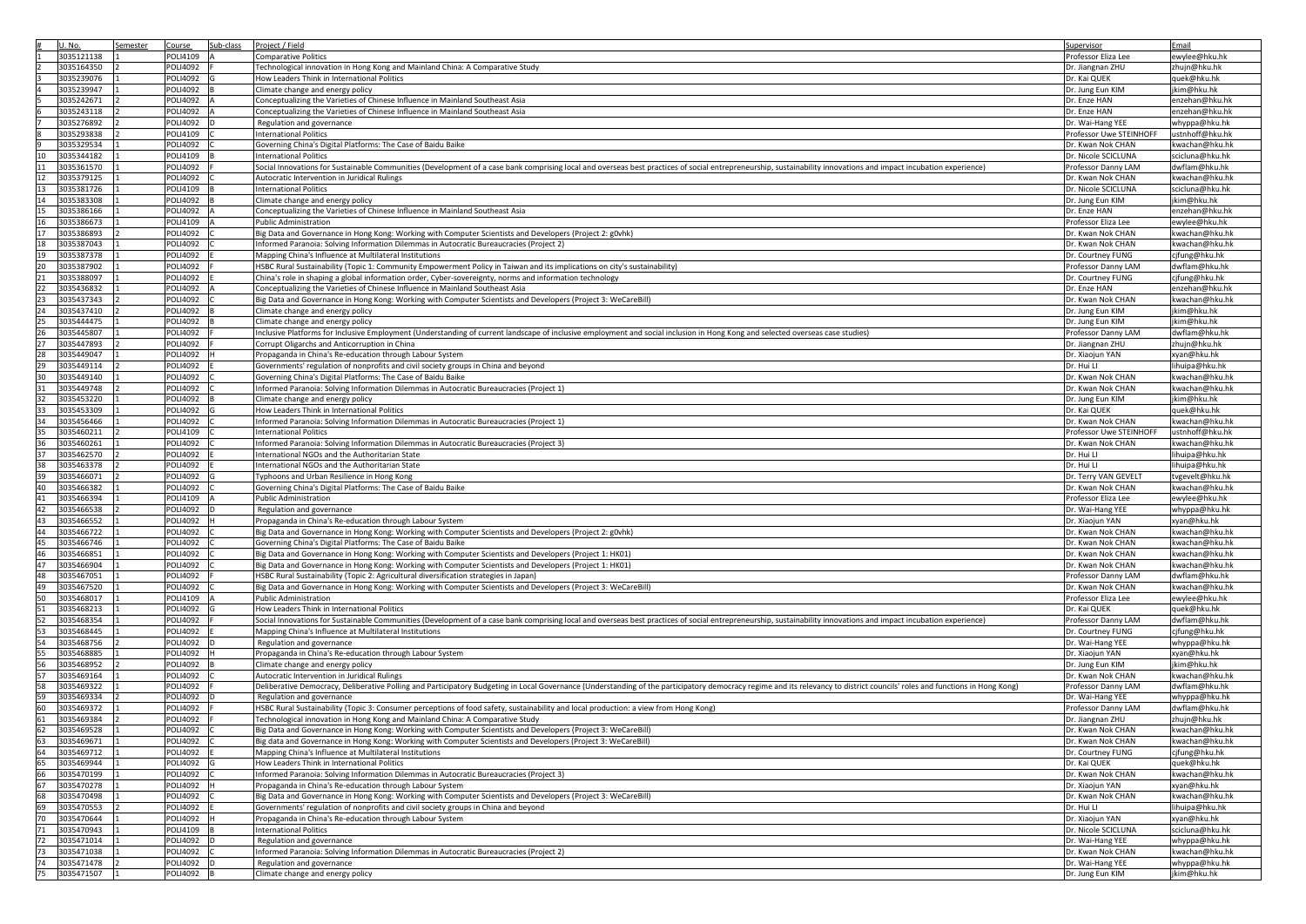|                     |            | Semester | Course          | Sub-class | Project / Field                                                                                                                                                                                                             | Supervisor              | Email                        |
|---------------------|------------|----------|-----------------|-----------|-----------------------------------------------------------------------------------------------------------------------------------------------------------------------------------------------------------------------------|-------------------------|------------------------------|
| U.No.<br>3035121138 |            |          | POLI4109        |           | <b>Comparative Politics</b>                                                                                                                                                                                                 | Professor Eliza Lee     | ewylee@hku.hk                |
|                     |            |          |                 |           |                                                                                                                                                                                                                             |                         |                              |
| 3035164350          |            |          | <b>POLI4092</b> |           | Technological innovation in Hong Kong and Mainland China: A Comparative Study                                                                                                                                               | Dr. Jiangnan ZHU        | zhujn@hku.hk                 |
| 3035239076          |            |          | <b>POLI4092</b> |           | How Leaders Think in International Politics                                                                                                                                                                                 | Dr. Kai QUEK            | quek@hku.hk                  |
| 3035239947          |            |          | <b>POLI4092</b> |           | Climate change and energy policy                                                                                                                                                                                            | Dr. Jung Eun KIM        | jkim@hku.hk                  |
| 3035242671          |            |          | <b>POLI4092</b> |           | Conceptualizing the Varieties of Chinese Influence in Mainland Southeast Asia                                                                                                                                               | Dr. Enze HAN            | enzehan@hku.hk               |
| 3035243118          |            |          | POLI4092        |           | Conceptualizing the Varieties of Chinese Influence in Mainland Southeast Asia                                                                                                                                               | Dr. Enze HAN            | enzehan@hku.hk               |
| 3035276892          |            |          | <b>POLI4092</b> |           | Regulation and governance                                                                                                                                                                                                   | Dr. Wai-Hang YEE        | whyppa@hku.hk                |
| 3035293838          |            |          | POLI4109        |           | <b>International Politics</b>                                                                                                                                                                                               | Professor Uwe STEINHOFF | ustnhoff@hku.hk              |
|                     |            |          |                 |           |                                                                                                                                                                                                                             |                         |                              |
| 3035329534          |            |          | <b>POLI4092</b> |           | Governing China's Digital Platforms: The Case of Baidu Baike                                                                                                                                                                | Dr. Kwan Nok CHAN       | kwachan@hku.hk               |
| 3035344182<br>10    |            |          | <b>POLI4109</b> |           | <b>International Politics</b>                                                                                                                                                                                               | Dr. Nicole SCICLUNA     | scicluna@hku.hk              |
| 3035361570<br>11    |            |          | POLI4092        |           | Social Innovations for Sustainable Communities (Development of a case bank comprising local and overseas best practices of social entrepreneurship, sustainability innovations and impact incubation experience)            | Professor Danny LAM     | dwflam@hku.hk                |
| 12<br>3035379125    |            |          | <b>POLI4092</b> |           | Autocratic Intervention in Juridical Rulings                                                                                                                                                                                | Dr. Kwan Nok CHAN       | kwachan@hku.hk               |
| 13<br>3035381726    |            |          | <b>POLI4109</b> |           | <b>International Politics</b>                                                                                                                                                                                               | Dr. Nicole SCICLUNA     | scicluna@hku.hk              |
| 14<br>3035383308    |            |          | <b>POLI4092</b> |           | Climate change and energy policy                                                                                                                                                                                            | Dr. Jung Eun KIM        | jkim@hku.hk                  |
| 3035386166<br>15    |            |          | <b>POLI4092</b> |           | Conceptualizing the Varieties of Chinese Influence in Mainland Southeast Asia                                                                                                                                               | Dr. Enze HAN            | enzehan@hku.hk               |
| 16<br>3035386673    |            |          | <b>POLI4109</b> |           | <b>Public Administration</b>                                                                                                                                                                                                | Professor Eliza Lee     | ewylee@hku.hk                |
| 17<br>3035386893    |            |          | POLI4092        |           | Big Data and Governance in Hong Kong: Working with Computer Scientists and Developers (Project 2: g0vhk)                                                                                                                    | Dr. Kwan Nok CHAN       | kwachan@hku.hk               |
|                     |            |          |                 |           |                                                                                                                                                                                                                             |                         |                              |
| 3035387043<br>18    |            |          | <b>POLI4092</b> |           | Informed Paranoia: Solving Information Dilemmas in Autocratic Bureaucracies (Project 2)                                                                                                                                     | Dr. Kwan Nok CHAN       | kwachan@hku.hk               |
| 19<br>3035387378    |            |          | <b>POLI4092</b> |           | Mapping China's Influence at Multilateral Institutions                                                                                                                                                                      | Dr. Courtney FUNG       | cjfung@hku.hk                |
| 20<br>3035387902    |            |          | <b>POLI4092</b> |           | HSBC Rural Sustainability (Topic 1: Community Empowerment Policy in Taiwan and its implications on city's sustainability)                                                                                                   | Professor Danny LAM     | dwflam@hku.hk                |
| 21<br>3035388097    |            |          | <b>POLI4092</b> |           | China's role in shaping a global information order, Cyber-sovereignty, norms and information technology                                                                                                                     | Dr. Courtney FUNG       | cjfung@hku.hk                |
| 22<br>3035436832    |            |          | <b>POLI4092</b> |           | Conceptualizing the Varieties of Chinese Influence in Mainland Southeast Asia                                                                                                                                               | Dr. Enze HAN            | enzehan@hku.hk               |
| 23<br>3035437343    |            |          | <b>POLI4092</b> |           | Big Data and Governance in Hong Kong: Working with Computer Scientists and Developers (Project 3: WeCareBill)                                                                                                               | Dr. Kwan Nok CHAN       | kwachan@hku.hk               |
| 24<br>3035437410    |            |          | <b>POLI4092</b> |           | Climate change and energy policy                                                                                                                                                                                            | Dr. Jung Eun KIM        | jkim@hku.hk                  |
| 25<br>3035444475    |            |          | <b>POLI4092</b> |           | Climate change and energy policy                                                                                                                                                                                            | Dr. Jung Eun KIM        | jkim@hku.hk                  |
|                     |            |          |                 |           |                                                                                                                                                                                                                             |                         |                              |
| 26<br>3035445807    |            |          | <b>POLI4092</b> |           | Inclusive Platforms for Inclusive Employment (Understanding of current landscape of inclusive employment and social inclusion in Hong Kong and selected overseas case studies)                                              | Professor Danny LAM     | dwflam@hku.hk                |
| 27<br>3035447893    |            |          | <b>POLI4092</b> |           | Corrupt Oligarchs and Anticorruption in China                                                                                                                                                                               | Dr. Jiangnan ZHU        | zhujn@hku.hk                 |
| 28<br>3035449047    |            |          | <b>POLI4092</b> |           | Propaganda in China's Re-education through Labour System                                                                                                                                                                    | Dr. Xiaojun YAN         | xyan@hku.hk                  |
| 29<br>3035449114    |            |          | POLI4092        |           | Governments' regulation of nonprofits and civil society groups in China and beyond                                                                                                                                          | Dr. Hui Ll              | lihuipa@hku.hk               |
| 30<br>3035449140    |            |          | POLI4092        |           | Governing China's Digital Platforms: The Case of Baidu Baike                                                                                                                                                                | Dr. Kwan Nok CHAN       | kwachan@hku.hk               |
| 31<br>3035449748    |            |          | <b>POLI4092</b> |           | Informed Paranoia: Solving Information Dilemmas in Autocratic Bureaucracies (Project 1)                                                                                                                                     | Dr. Kwan Nok CHAN       | kwachan@hku.hk               |
| 32<br>3035453220    |            |          | <b>POLI4092</b> |           | Climate change and energy policy                                                                                                                                                                                            | Dr. Jung Eun KIM        | jkim@hku.hk                  |
| 33<br>3035453309    |            |          | POLI4092        |           | How Leaders Think in International Politics                                                                                                                                                                                 | Dr. Kai QUEK            | quek@hku.hk                  |
| 34<br>3035456466    |            |          | <b>POLI4092</b> |           | Informed Paranoia: Solving Information Dilemmas in Autocratic Bureaucracies (Project 1)                                                                                                                                     | Dr. Kwan Nok CHAN       | kwachan@hku.hk               |
| 35<br>3035460211    |            |          | <b>POLI4109</b> |           | <b>International Politics</b>                                                                                                                                                                                               | Professor Uwe STEINHOFF | ustnhoff@hku.hk              |
|                     |            |          |                 |           |                                                                                                                                                                                                                             |                         |                              |
| 36<br>3035460261    |            |          | POLI4092        |           | Informed Paranoia: Solving Information Dilemmas in Autocratic Bureaucracies (Project 3)                                                                                                                                     | Dr. Kwan Nok CHAN       | kwachan@hku.hk               |
| 37<br>3035462570    |            |          | <b>POLI4092</b> |           | International NGOs and the Authoritarian State                                                                                                                                                                              | Dr. Hui Ll              | lihuipa@hku.hk               |
| 38<br>3035463378    |            |          | <b>POLI4092</b> |           | International NGOs and the Authoritarian State                                                                                                                                                                              | Dr. Hui Ll              | lihuipa@hku.hk               |
| 39<br>3035466071    |            |          | <b>POLI4092</b> |           | Typhoons and Urban Resilience in Hong Kong                                                                                                                                                                                  | Dr. Terry VAN GEVELT    | tvgevelt@hku.hk              |
| 40<br>3035466382    |            |          | POLI4092        |           | Governing China's Digital Platforms: The Case of Baidu Baike                                                                                                                                                                | Dr. Kwan Nok CHAN       | kwachan@hku.hk               |
| 41<br>3035466394    |            |          | <b>POLI4109</b> |           | <b>Public Administration</b>                                                                                                                                                                                                |                         |                              |
| 42<br>3035466538    |            |          |                 |           |                                                                                                                                                                                                                             | Professor Eliza Lee     | ewylee@hku.hk                |
| 43<br>3035466552    |            |          | POLI4092        |           |                                                                                                                                                                                                                             |                         |                              |
| 44                  |            |          |                 |           | Regulation and governance                                                                                                                                                                                                   | Dr. Wai-Hang YEE        | whyppa@hku.hk                |
|                     |            |          | POLI4092        |           | Propaganda in China's Re-education through Labour System                                                                                                                                                                    | Dr. Xiaojun YAN         | xyan@hku.hk                  |
|                     | 3035466722 |          | POLI4092        |           | Big Data and Governance in Hong Kong: Working with Computer Scientists and Developers (Project 2: g0vhk)                                                                                                                    | Dr. Kwan Nok CHAN       | kwachan@hku.hk               |
| 45<br>3035466746    |            |          | <b>POLI4092</b> |           | Governing China's Digital Platforms: The Case of Baidu Baike                                                                                                                                                                | Dr. Kwan Nok CHAN       | kwachan@hku.hk               |
| 46<br>3035466851    |            |          | <b>POLI4092</b> |           | Big Data and Governance in Hong Kong: Working with Computer Scientists and Developers (Project 1: HK01)                                                                                                                     | Dr. Kwan Nok CHAN       | kwachan@hku.hk               |
| 47<br>3035466904    |            |          | <b>POLI4092</b> |           | Big Data and Governance in Hong Kong: Working with Computer Scientists and Developers (Project 1: HK01)                                                                                                                     | Dr. Kwan Nok CHAN       | kwachan@hku.hk               |
| 48<br>3035467051    |            |          | <b>POLI4092</b> |           | HSBC Rural Sustainability (Topic 2: Agricultural diversification strategies in Japan)                                                                                                                                       | Professor Danny LAM     | dwflam@hku.hk                |
| 49<br>3035467520    |            |          | <b>POLI4092</b> |           | Big Data and Governance in Hong Kong: Working with Computer Scientists and Developers (Project 3: WeCareBill)                                                                                                               | Dr. Kwan Nok CHAN       | kwachan@hku.hk               |
| 50<br>3035468017    |            |          | <b>POLI4109</b> |           | <b>Public Administration</b>                                                                                                                                                                                                | Professor Eliza Lee     | ewylee@hku.hk                |
| 51<br>3035468213    |            |          | <b>POLI4092</b> |           | How Leaders Think in International Politics                                                                                                                                                                                 | Dr. Kai QUEK            | quek@hku.hk                  |
| 52<br>3035468354    |            |          |                 |           | (Social Innovations for Sustainable Communities (Development of a case bank comprising local and overseas best practices of social entrepreneurship, sustainability innovations and impact incubation experience)           | Professor Danny LAM     | dwflam@hku.hk                |
|                     |            |          | <b>POLI4092</b> |           |                                                                                                                                                                                                                             |                         |                              |
| 53<br>3035468445    |            |          | <b>POLI4092</b> |           | Mapping China's Influence at Multilateral Institutions                                                                                                                                                                      | Dr. Courtney FUNG       | cjfung@hku.hk                |
| 54<br>3035468756    |            |          | <b>POLI4092</b> |           | Regulation and governance                                                                                                                                                                                                   | Dr. Wai-Hang YEE        | whyppa@hku.hk                |
| 55<br>3035468885    |            |          | <b>POLI4092</b> |           | Propaganda in China's Re-education through Labour System                                                                                                                                                                    | Dr. Xiaojun YAN         | xyan@hku.hk                  |
| 56<br>3035468952    |            |          | <b>POLI4092</b> |           | Climate change and energy policy                                                                                                                                                                                            | Dr. Jung Eun KIM        | jkim@hku.hk                  |
| 57<br>3035469164    |            |          | <b>POLI4092</b> |           | Autocratic Intervention in Juridical Rulings                                                                                                                                                                                | Dr. Kwan Nok CHAN       | kwachan@hku.hk               |
| 58<br>3035469322    |            |          | <b>POLI4092</b> |           | Deliberative Democracy, Deliberative Polling and Participatory Budgeting in Local Governance (Understanding of the participatory democracy regime and its relevancy to district councils' roles and functions in Hong Kong) | Professor Danny LAM     | dwflam@hku.hk                |
| 59<br>3035469334    |            |          | <b>POLI4092</b> |           | Regulation and governance                                                                                                                                                                                                   | Dr. Wai-Hang YEE        | whyppa@hku.hk                |
| 60<br>3035469372    |            |          | <b>POLI4092</b> |           | HSBC Rural Sustainability (Topic 3: Consumer perceptions of food safety, sustainability and local production: a view from Hong Kong)                                                                                        | Professor Danny LAM     | dwflam@hku.hk                |
| 61<br>3035469384    |            |          | <b>POLI4092</b> |           | Technological innovation in Hong Kong and Mainland China: A Comparative Study                                                                                                                                               | Dr. Jiangnan ZHU        | zhujn@hku.hk                 |
| 62<br>3035469528    |            |          | <b>POLI4092</b> |           | Big Data and Governance in Hong Kong: Working with Computer Scientists and Developers (Project 3: WeCareBill)                                                                                                               | Dr. Kwan Nok CHAN       | kwachan@hku.hk               |
| 63<br>3035469671    |            |          | <b>POLI4092</b> |           | Big data and Governance in Hong Kong: Working with Computer Scientists and Developers (Project 3: WeCareBill)                                                                                                               | Dr. Kwan Nok CHAN       | kwachan@hku.hk               |
|                     |            |          |                 |           |                                                                                                                                                                                                                             |                         |                              |
| 64<br>3035469712    |            |          | <b>POLI4092</b> |           | Mapping China's Influence at Multilateral Institutions                                                                                                                                                                      | Dr. Courtney FUNG       | cjfung@hku.hk                |
| 65<br>3035469944    |            |          | <b>POLI4092</b> |           | How Leaders Think in International Politics                                                                                                                                                                                 | Dr. Kai QUEK            | quek@hku.hk                  |
| 66<br>3035470199    |            |          | <b>POLI4092</b> |           | Informed Paranoia: Solving Information Dilemmas in Autocratic Bureaucracies (Project 3)                                                                                                                                     | Dr. Kwan Nok CHAN       | kwachan@hku.hk               |
| 67<br>3035470278    |            |          | POLI4092        |           | Propaganda in China's Re-education through Labour System                                                                                                                                                                    | Dr. Xiaojun YAN         | xyan@hku.hk                  |
| 68<br>3035470498    |            |          | <b>POLI4092</b> |           | Big Data and Governance in Hong Kong: Working with Computer Scientists and Developers (Project 3: WeCareBill)                                                                                                               | Dr. Kwan Nok CHAN       | kwachan@hku.hk               |
| 69<br>3035470553    |            |          | <b>POLI4092</b> |           | Governments' regulation of nonprofits and civil society groups in China and beyond                                                                                                                                          | Dr. Hui Ll              | lihuipa@hku.hk               |
| 70<br>3035470644    |            |          | <b>POLI4092</b> |           | Propaganda in China's Re-education through Labour System                                                                                                                                                                    | Dr. Xiaojun YAN         | xyan@hku.hk                  |
| 71<br>3035470943    |            |          | <b>POLI4109</b> |           | <b>International Politics</b>                                                                                                                                                                                               | Dr. Nicole SCICLUNA     | scicluna@hku.hk              |
| 72<br>3035471014    |            |          | <b>POLI4092</b> |           | Regulation and governance                                                                                                                                                                                                   | Dr. Wai-Hang YEE        | whyppa@hku.hk                |
| 73<br>3035471038    |            |          | <b>POLI4092</b> |           | Informed Paranoia: Solving Information Dilemmas in Autocratic Bureaucracies (Project 2)                                                                                                                                     | Dr. Kwan Nok CHAN       |                              |
| 3035471478<br>74    |            |          | <b>POLI4092</b> |           | Regulation and governance                                                                                                                                                                                                   | Dr. Wai-Hang YEE        | kwachan@hku.hk               |
| 75<br>3035471507    |            |          | <b>POLI4092</b> |           | Climate change and energy policy                                                                                                                                                                                            | Dr. Jung Eun KIM        | whyppa@hku.hk<br>jkim@hku.hk |